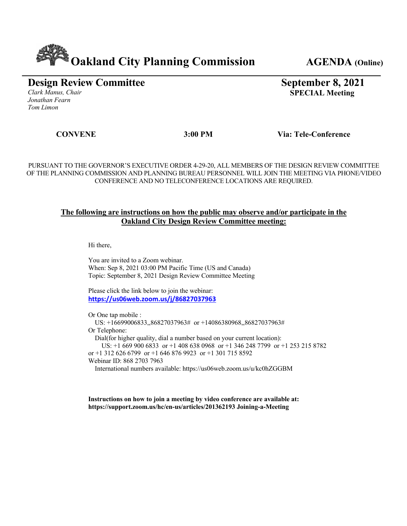# **Cakland City Planning Commission** AGENDA (Online)

## **Design Review Committee**

*Clark Manus, Chair Jonathan Fearn Tom Limon*

## **September 8, 2021 SPECIAL Meeting**

 **CONVENE 3:00 PM Via: Tele-Conference**

PURSUANT TO THE GOVERNOR'S EXECUTIVE ORDER 4-29-20, ALL MEMBERS OF THE DESIGN REVIEW COMMITTEE OF THE PLANNING COMMISSION AND PLANNING BUREAU PERSONNEL WILL JOIN THE MEETING VIA PHONE/VIDEO CONFERENCE AND NO TELECONFERENCE LOCATIONS ARE REQUIRED.

### **The following are instructions on how the public may observe and/or participate in the Oakland City Design Review Committee meeting:**

Hi there,

You are invited to a Zoom webinar. When: Sep 8, 2021 03:00 PM Pacific Time (US and Canada) Topic: September 8, 2021 Design Review Committee Meeting

Please click the link below to join the webinar: **https://us06web.zoom.us/j/86827037963**

Or One tap mobile :

US: +16699006833,,86827037963# or +14086380968,,86827037963#

Or Telephone:

Dial(for higher quality, dial a number based on your current location):

US: +1 669 900 6833 or +1 408 638 0968 or +1 346 248 7799 or +1 253 215 8782

or +1 312 626 6799 or +1 646 876 9923 or +1 301 715 8592

Webinar ID: 868 2703 7963

International numbers available: https://us06web.zoom.us/u/kc0hZGGBM

**Instructions on how to join a meeting by video conference are available at: https://support.zoom.us/hc/en-us/articles/201362193 Joining-a-Meeting**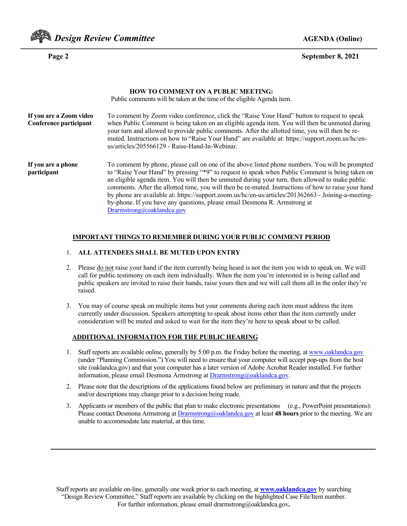

#### **Page 2 September 8, 2021**

|                                                   | <b>HOW TO COMMENT ON A PUBLIC MEETING:</b><br>Public comments will be taken at the time of the eligible Agenda item.                                                                                                                                                                                                                                                                                                                                                                                                                                                                                                          |
|---------------------------------------------------|-------------------------------------------------------------------------------------------------------------------------------------------------------------------------------------------------------------------------------------------------------------------------------------------------------------------------------------------------------------------------------------------------------------------------------------------------------------------------------------------------------------------------------------------------------------------------------------------------------------------------------|
| If you are a Zoom video<br>Conference participant | To comment by Zoom video conference, click the "Raise Your Hand" button to request to speak<br>when Public Comment is being taken on an eligible agenda item. You will then be unmuted during<br>your turn and allowed to provide public comments. After the allotted time, you will then be re-<br>muted. Instructions on how to "Raise Your Hand" are available at: https://support.zoom.us/hc/en-<br>us/articles/205566129 - Raise-Hand-In-Webinar.                                                                                                                                                                        |
| If you are a phone<br>participant                 | To comment by phone, please call on one of the above listed phone numbers. You will be prompted<br>to "Raise Your Hand" by pressing "*9" to request to speak when Public Comment is being taken on<br>an eligible agenda item. You will then be unmuted during your turn, then allowed to make public<br>comments. After the allotted time, you will then be re-muted. Instructions of how to raise your hand<br>by phone are available at: https://support.zoom.us/hc/en-us/articles/201362663 - Joining-a-meeting-<br>by-phone. If you have any questions, please email Desmona R. Armstrong at<br>Dramstrong@oaklandca.gov |

#### **IMPORTANT THINGS TO REMEMBER DURING YOUR PUBLIC COMMENT PERIOD**

#### 1. **ALL ATTENDEES SHALL BE MUTED UPON ENTRY**

- 2. Please do not raise your hand if the item currently being heard is not the item you wish to speak on. We will call for public testimony on each item individually. When the item you're interested in is being called and public speakers are invited to raise their hands, raise yours then and we will call them all in the order they're raised.
- 3. You may of course speak on multiple items but your comments during each item must address the item currently under discussion. Speakers attempting to speak about items other than the item currently under consideration will be muted and asked to wait for the item they're here to speak about to be called.

#### **ADDITIONAL INFORMATION FOR THE PUBLIC HEARING**

- 1. Staff reports are available online, generally by 5:00 p.m. the Friday before the meeting, at www.oaklandca.gov (under "Planning Commission.") You will need to ensure that your computer will accept pop-ups from the host site (oaklandca.gov) and that your computer has a later version of Adobe Acrobat Reader installed. For further information, please email Desmona Armstrong at Drarmstrong@oaklandca.gov.
- 2. Please note that the descriptions of the applications found below are preliminary in nature and that the projects and/or descriptions may change prior to a decision being made.
- 3. Applicants or members of the public that plan to make electronic presentations (e.g., PowerPoint presentations): Please contact Desmona Armstrong at Drarmstrong@oaklandca.gov at least **48 hours** prior to the meeting. We are unable to accommodate late material, at this time.

Staff reports are available on-line, generally one week prior to each meeting, at **www.oaklandca.gov** by searching "Design Review Committee." Staff reports are available by clicking on the highlighted Case File/Item number. For further information, please email drarmstrong@oaklandca.gov**.**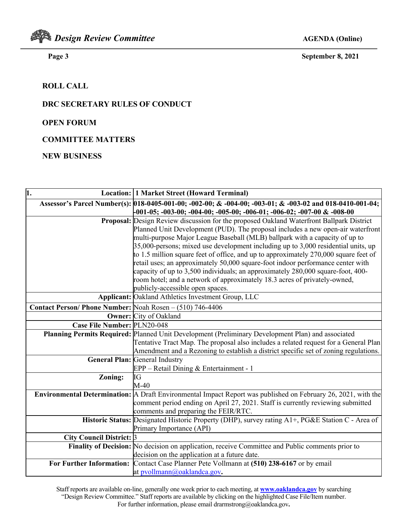

 **Page 3 September 8, 2021**

### **ROLL CALL**

#### **DRC SECRETARY RULES OF CONDUCT**

#### **OPEN FORUM**

**COMMITTEE MATTERS**

#### **NEW BUSINESS**

| $\overline{\mathbf{1}}$ .                                | <b>Location: 1 Market Street (Howard Terminal)</b>                                                                                         |
|----------------------------------------------------------|--------------------------------------------------------------------------------------------------------------------------------------------|
|                                                          | Assessor's Parcel Number(s): [018-0405-001-00; -002-00; & -004-00; -003-01; & -003-02 and 018-0410-001-04;                                 |
|                                                          | $\textcolor{red}{\textbf{1-05}};$ -003-00; -004-00; -005-00; -006-01; -006-02; -007-00 & -008-00                                           |
|                                                          | Proposal: Design Review discussion for the proposed Oakland Waterfront Ballpark District                                                   |
|                                                          | Planned Unit Development (PUD). The proposal includes a new open-air waterfront                                                            |
|                                                          | multi-purpose Major League Baseball (MLB) ballpark with a capacity of up to                                                                |
|                                                          | $35,000$ -persons; mixed use development including up to 3,000 residential units, up                                                       |
|                                                          | to 1.5 million square feet of office, and up to approximately $270,000$ square feet of                                                     |
|                                                          | retail uses; an approximately 50,000 square-foot indoor performance center with                                                            |
|                                                          | capacity of up to 3,500 individuals; an approximately 280,000 square-foot, 400-                                                            |
|                                                          | room hotel; and a network of approximately 18.3 acres of privately-owned,                                                                  |
|                                                          | publicly-accessible open spaces.                                                                                                           |
|                                                          | <b>Applicant:</b> Oakland Athletics Investment Group, LLC                                                                                  |
| Contact Person/Phone Number: Noah Rosen – (510) 746-4406 |                                                                                                                                            |
|                                                          | <b>Owner:</b> City of Oakland                                                                                                              |
| Case File Number: PLN20-048                              |                                                                                                                                            |
|                                                          | Planning Permits Required: Planned Unit Development (Preliminary Development Plan) and associated                                          |
|                                                          | Tentative Tract Map. The proposal also includes a related request for a General Plan                                                       |
|                                                          | Amendment and a Rezoning to establish a district specific set of zoning regulations.                                                       |
|                                                          | <b>General Plan: General Industry</b>                                                                                                      |
|                                                          | EPP – Retail Dining & Entertainment - 1                                                                                                    |
| Zoning:                                                  | IG                                                                                                                                         |
|                                                          | $M-40$                                                                                                                                     |
|                                                          | <b>Environmental Determination:</b> A Draft Environmental Impact Report was published on February 26, 2021, with the                       |
|                                                          | comment period ending on April 27, 2021. Staff is currently reviewing submitted                                                            |
|                                                          | comments and preparing the FEIR/RTC.                                                                                                       |
|                                                          | Historic Status: Designated Historic Property (DHP), survey rating A1+, PG&E Station C - Area of                                           |
|                                                          | Primary Importance (API)                                                                                                                   |
| City Council District: 3                                 |                                                                                                                                            |
|                                                          | Finality of Decision: No decision on application, receive Committee and Public comments prior to                                           |
|                                                          | decision on the application at a future date.<br>For Further Information: Contact Case Planner Pete Vollmann at (510) 238-6167 or by email |
|                                                          | at pvollmann@oaklandca.gov.                                                                                                                |
|                                                          |                                                                                                                                            |

Staff reports are available on-line, generally one week prior to each meeting, at **www.oaklandca.gov** by searching "Design Review Committee." Staff reports are available by clicking on the highlighted Case File/Item number. For further information, please email drarmstrong@oaklandca.gov**.**